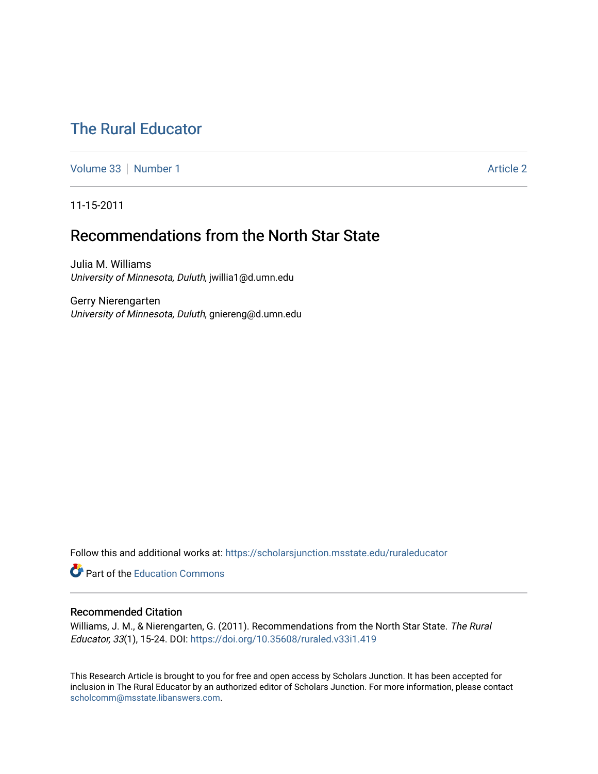# [The Rural Educator](https://scholarsjunction.msstate.edu/ruraleducator)

[Volume 33](https://scholarsjunction.msstate.edu/ruraleducator/vol33) [Number 1](https://scholarsjunction.msstate.edu/ruraleducator/vol33/iss1) Article 2

11-15-2011

# Recommendations from the North Star State

Julia M. Williams University of Minnesota, Duluth, jwillia1@d.umn.edu

Gerry Nierengarten University of Minnesota, Duluth, gniereng@d.umn.edu

Follow this and additional works at: [https://scholarsjunction.msstate.edu/ruraleducator](https://scholarsjunction.msstate.edu/ruraleducator?utm_source=scholarsjunction.msstate.edu%2Fruraleducator%2Fvol33%2Fiss1%2F2&utm_medium=PDF&utm_campaign=PDFCoverPages)

**C** Part of the [Education Commons](http://network.bepress.com/hgg/discipline/784?utm_source=scholarsjunction.msstate.edu%2Fruraleducator%2Fvol33%2Fiss1%2F2&utm_medium=PDF&utm_campaign=PDFCoverPages)

# Recommended Citation

Williams, J. M., & Nierengarten, G. (2011). Recommendations from the North Star State. The Rural Educator, 33(1), 15-24. DOI: <https://doi.org/10.35608/ruraled.v33i1.419>

This Research Article is brought to you for free and open access by Scholars Junction. It has been accepted for inclusion in The Rural Educator by an authorized editor of Scholars Junction. For more information, please contact [scholcomm@msstate.libanswers.com.](mailto:scholcomm@msstate.libanswers.com)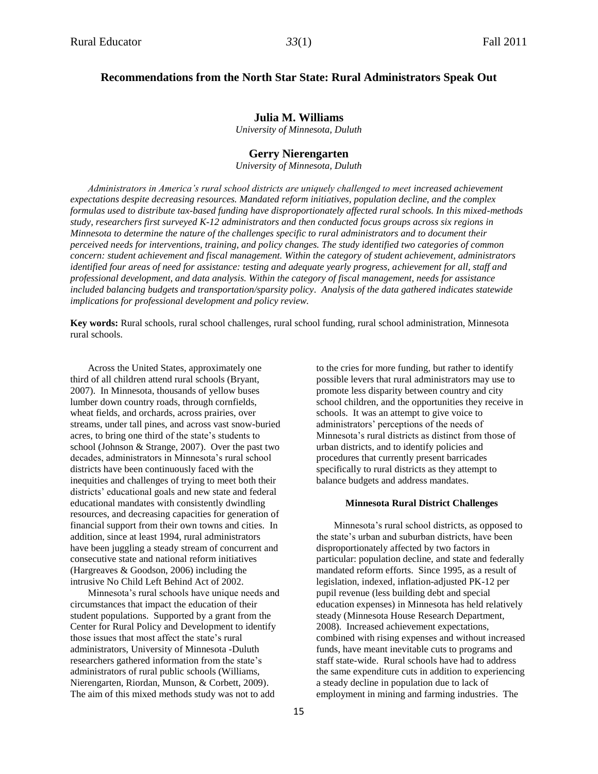# **Recommendations from the North Star State: Rural Administrators Speak Out**

## **Julia M. Williams**

*University of Minnesota, Duluth*

## **Gerry Nierengarten**

*University of Minnesota, Duluth*

*Administrators in America's rural school districts are uniquely challenged to meet increased achievement expectations despite decreasing resources. Mandated reform initiatives, population decline, and the complex formulas used to distribute tax-based funding have disproportionately affected rural schools. In this mixed-methods study, researchers first surveyed K-12 administrators and then conducted focus groups across six regions in Minnesota to determine the nature of the challenges specific to rural administrators and to document their perceived needs for interventions, training, and policy changes. The study identified two categories of common concern: student achievement and fiscal management. Within the category of student achievement, administrators identified four areas of need for assistance: testing and adequate yearly progress, achievement for all, staff and professional development, and data analysis. Within the category of fiscal management, needs for assistance included balancing budgets and transportation/sparsity policy. Analysis of the data gathered indicates statewide implications for professional development and policy review.*

**Key words:** Rural schools, rural school challenges, rural school funding, rural school administration, Minnesota rural schools.

Across the United States, approximately one third of all children attend rural schools (Bryant, 2007). In Minnesota, thousands of yellow buses lumber down country roads, through cornfields, wheat fields, and orchards, across prairies, over streams, under tall pines, and across vast snow-buried acres, to bring one third of the state's students to school (Johnson & Strange, 2007). Over the past two decades, administrators in Minnesota's rural school districts have been continuously faced with the inequities and challenges of trying to meet both their districts' educational goals and new state and federal educational mandates with consistently dwindling resources, and decreasing capacities for generation of financial support from their own towns and cities. In addition, since at least 1994, rural administrators have been juggling a steady stream of concurrent and consecutive state and national reform initiatives (Hargreaves & Goodson, 2006) including the intrusive No Child Left Behind Act of 2002.

Minnesota's rural schools have unique needs and circumstances that impact the education of their student populations. Supported by a grant from the Center for Rural Policy and Development to identify those issues that most affect the state's rural administrators, University of Minnesota -Duluth researchers gathered information from the state's administrators of rural public schools (Williams, Nierengarten, Riordan, Munson, & Corbett, 2009). The aim of this mixed methods study was not to add

to the cries for more funding, but rather to identify possible levers that rural administrators may use to promote less disparity between country and city school children, and the opportunities they receive in schools. It was an attempt to give voice to administrators' perceptions of the needs of Minnesota's rural districts as distinct from those of urban districts, and to identify policies and procedures that currently present barricades specifically to rural districts as they attempt to balance budgets and address mandates.

#### **Minnesota Rural District Challenges**

Minnesota's rural school districts, as opposed to the state's urban and suburban districts, have been disproportionately affected by two factors in particular: population decline, and state and federally mandated reform efforts. Since 1995, as a result of legislation, indexed, inflation-adjusted PK-12 per pupil revenue (less building debt and special education expenses) in Minnesota has held relatively steady (Minnesota House Research Department, 2008). Increased achievement expectations, combined with rising expenses and without increased funds, have meant inevitable cuts to programs and staff state-wide. Rural schools have had to address the same expenditure cuts in addition to experiencing a steady decline in population due to lack of employment in mining and farming industries. The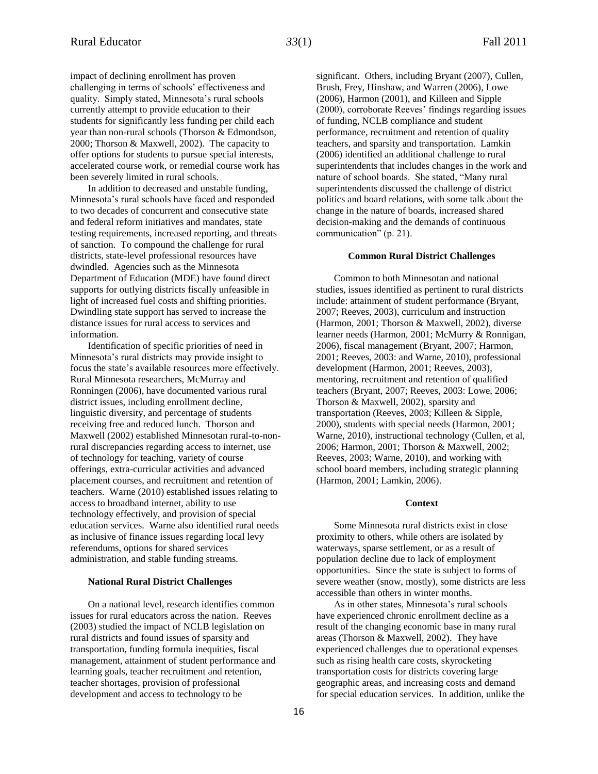impact of declining enrollment has proven challenging in terms of schools' effectiveness and quality. Simply stated, Minnesota's rural schools currently attempt to provide education to their students for significantly less funding per child each year than non-rural schools (Thorson & Edmondson, 2000; Thorson & Maxwell, 2002). The capacity to offer options for students to pursue special interests, accelerated course work, or remedial course work has been severely limited in rural schools.

In addition to decreased and unstable funding, Minnesota's rural schools have faced and responded to two decades of concurrent and consecutive state and federal reform initiatives and mandates, state testing requirements, increased reporting, and threats of sanction. To compound the challenge for rural districts, state-level professional resources have dwindled. Agencies such as the Minnesota Department of Education (MDE) have found direct supports for outlying districts fiscally unfeasible in light of increased fuel costs and shifting priorities. Dwindling state support has served to increase the distance issues for rural access to services and information.

Identification of specific priorities of need in Minnesota's rural districts may provide insight to focus the state's available resources more effectively. Rural Minnesota researchers, McMurray and Ronningen (2006), have documented various rural district issues, including enrollment decline, linguistic diversity, and percentage of students receiving free and reduced lunch. Thorson and Maxwell (2002) established Minnesotan rural-to-nonrural discrepancies regarding access to internet, use of technology for teaching, variety of course offerings, extra-curricular activities and advanced placement courses, and recruitment and retention of teachers. Warne (2010) established issues relating to access to broadband internet, ability to use technology effectively, and provision of special education services. Warne also identified rural needs as inclusive of finance issues regarding local levy referendums, options for shared services administration, and stable funding streams.

## **National Rural District Challenges**

On a national level, research identifies common issues for rural educators across the nation. Reeves (2003) studied the impact of NCLB legislation on rural districts and found issues of sparsity and transportation, funding formula inequities, fiscal management, attainment of student performance and learning goals, teacher recruitment and retention, teacher shortages, provision of professional development and access to technology to be

significant. Others, including Bryant (2007), Cullen, Brush, Frey, Hinshaw, and Warren (2006), Lowe (2006), Harmon (2001), and Killeen and Sipple (2000), corroborate Reeves' findings regarding issues of funding, NCLB compliance and student performance, recruitment and retention of quality teachers, and sparsity and transportation. Lamkin (2006) identified an additional challenge to rural superintendents that includes changes in the work and nature of school boards. She stated, "Many rural superintendents discussed the challenge of district politics and board relations, with some talk about the change in the nature of boards, increased shared decision-making and the demands of continuous communication" (p. 21).

#### **Common Rural District Challenges**

Common to both Minnesotan and national studies, issues identified as pertinent to rural districts include: attainment of student performance (Bryant, 2007; Reeves, 2003), curriculum and instruction (Harmon, 2001; Thorson & Maxwell, 2002), diverse learner needs (Harmon, 2001; McMurry & Ronnigan, 2006), fiscal management (Bryant, 2007; Harmon, 2001; Reeves, 2003: and Warne, 2010), professional development (Harmon, 2001; Reeves, 2003), mentoring, recruitment and retention of qualified teachers (Bryant, 2007; Reeves, 2003: Lowe, 2006; Thorson & Maxwell, 2002), sparsity and transportation (Reeves, 2003; Killeen & Sipple, 2000), students with special needs (Harmon, 2001; Warne, 2010), instructional technology (Cullen, et al, 2006; Harmon, 2001; Thorson & Maxwell, 2002; Reeves, 2003; Warne, 2010), and working with school board members, including strategic planning (Harmon, 2001; Lamkin, 2006).

## **Context**

Some Minnesota rural districts exist in close proximity to others, while others are isolated by waterways, sparse settlement, or as a result of population decline due to lack of employment opportunities. Since the state is subject to forms of severe weather (snow, mostly), some districts are less accessible than others in winter months.

As in other states, Minnesota's rural schools have experienced chronic enrollment decline as a result of the changing economic base in many rural areas (Thorson & Maxwell, 2002). They have experienced challenges due to operational expenses such as rising health care costs, skyrocketing transportation costs for districts covering large geographic areas, and increasing costs and demand for special education services. In addition, unlike the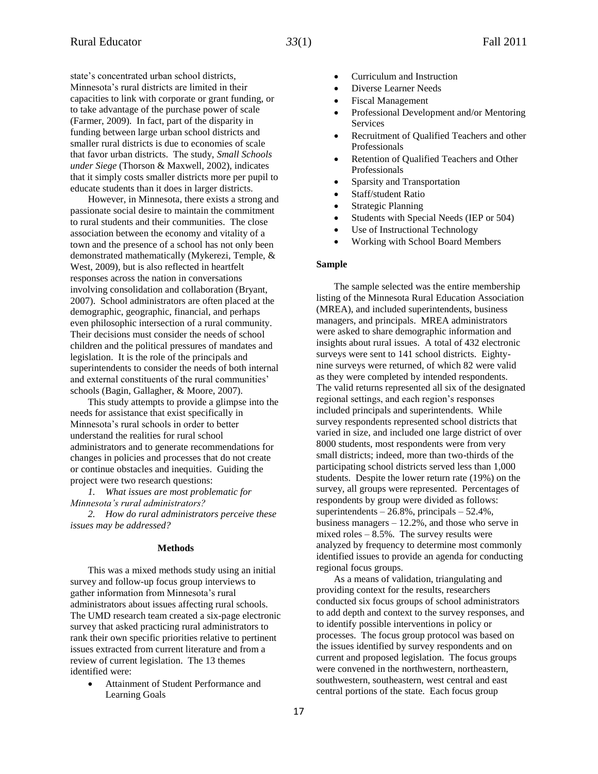state's concentrated urban school districts, Minnesota's rural districts are limited in their capacities to link with corporate or grant funding, or to take advantage of the purchase power of scale (Farmer, 2009). In fact, part of the disparity in funding between large urban school districts and smaller rural districts is due to economies of scale that favor urban districts. The study, *Small Schools under Siege* (Thorson & Maxwell, 2002), indicates that it simply costs smaller districts more per pupil to educate students than it does in larger districts.

However, in Minnesota, there exists a strong and passionate social desire to maintain the commitment to rural students and their communities. The close association between the economy and vitality of a town and the presence of a school has not only been demonstrated mathematically (Mykerezi, Temple, & West, 2009), but is also reflected in heartfelt responses across the nation in conversations involving consolidation and collaboration (Bryant, 2007). School administrators are often placed at the demographic, geographic, financial, and perhaps even philosophic intersection of a rural community. Their decisions must consider the needs of school children and the political pressures of mandates and legislation. It is the role of the principals and superintendents to consider the needs of both internal and external constituents of the rural communities' schools (Bagin, Gallagher, & Moore, 2007).

This study attempts to provide a glimpse into the needs for assistance that exist specifically in Minnesota's rural schools in order to better understand the realities for rural school administrators and to generate recommendations for changes in policies and processes that do not create or continue obstacles and inequities. Guiding the project were two research questions:

*1. What issues are most problematic for Minnesota's rural administrators?* 

*2. How do rural administrators perceive these issues may be addressed?*

## **Methods**

This was a mixed methods study using an initial survey and follow-up focus group interviews to gather information from Minnesota's rural administrators about issues affecting rural schools. The UMD research team created a six-page electronic survey that asked practicing rural administrators to rank their own specific priorities relative to pertinent issues extracted from current literature and from a review of current legislation. The 13 themes identified were:

 Attainment of Student Performance and Learning Goals

- Curriculum and Instruction
- Diverse Learner Needs
- Fiscal Management
- Professional Development and/or Mentoring Services
- Recruitment of Qualified Teachers and other Professionals
- Retention of Qualified Teachers and Other Professionals
- Sparsity and Transportation
- Staff/student Ratio
- Strategic Planning
- Students with Special Needs (IEP or 504)
- Use of Instructional Technology
- Working with School Board Members

#### **Sample**

The sample selected was the entire membership listing of the Minnesota Rural Education Association (MREA), and included superintendents, business managers, and principals. MREA administrators were asked to share demographic information and insights about rural issues. A total of 432 electronic surveys were sent to 141 school districts. Eightynine surveys were returned, of which 82 were valid as they were completed by intended respondents. The valid returns represented all six of the designated regional settings, and each region's responses included principals and superintendents. While survey respondents represented school districts that varied in size, and included one large district of over 8000 students, most respondents were from very small districts; indeed, more than two-thirds of the participating school districts served less than 1,000 students. Despite the lower return rate (19%) on the survey, all groups were represented. Percentages of respondents by group were divided as follows: superintendents – 26.8%, principals – 52.4%, business managers – 12.2%, and those who serve in mixed roles – 8.5%. The survey results were analyzed by frequency to determine most commonly identified issues to provide an agenda for conducting regional focus groups.

As a means of validation, triangulating and providing context for the results, researchers conducted six focus groups of school administrators to add depth and context to the survey responses, and to identify possible interventions in policy or processes. The focus group protocol was based on the issues identified by survey respondents and on current and proposed legislation. The focus groups were convened in the northwestern, northeastern, southwestern, southeastern, west central and east central portions of the state. Each focus group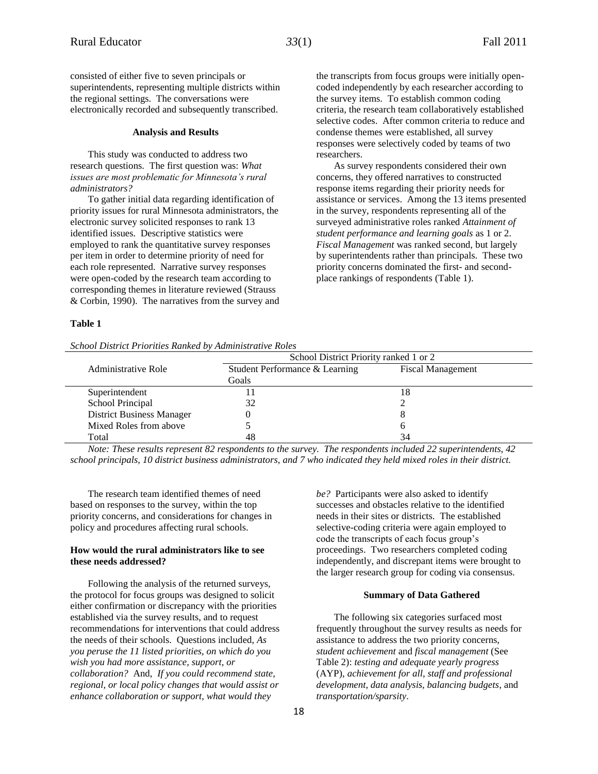consisted of either five to seven principals or superintendents, representing multiple districts within the regional settings. The conversations were electronically recorded and subsequently transcribed.

#### **Analysis and Results**

This study was conducted to address two research questions. The first question was: *What issues are most problematic for Minnesota's rural administrators?* 

To gather initial data regarding identification of priority issues for rural Minnesota administrators, the electronic survey solicited responses to rank 13 identified issues. Descriptive statistics were employed to rank the quantitative survey responses per item in order to determine priority of need for each role represented. Narrative survey responses were open-coded by the research team according to corresponding themes in literature reviewed (Strauss & Corbin, 1990). The narratives from the survey and

## the transcripts from focus groups were initially opencoded independently by each researcher according to the survey items. To establish common coding criteria, the research team collaboratively established selective codes. After common criteria to reduce and condense themes were established, all survey responses were selectively coded by teams of two researchers.

As survey respondents considered their own concerns, they offered narratives to constructed response items regarding their priority needs for assistance or services. Among the 13 items presented in the survey, respondents representing all of the surveyed administrative roles ranked *Attainment of student performance and learning goals* as 1 or 2. *Fiscal Management* was ranked second, but largely by superintendents rather than principals. These two priority concerns dominated the first- and secondplace rankings of respondents (Table 1).

#### **Table 1**

*School District Priorities Ranked by Administrative Roles*

|                                  | School District Priority ranked 1 or 2 |                          |
|----------------------------------|----------------------------------------|--------------------------|
| Administrative Role              | Student Performance & Learning         | <b>Fiscal Management</b> |
|                                  | Goals                                  |                          |
| Superintendent                   |                                        | 18                       |
| School Principal                 | 32                                     |                          |
| <b>District Business Manager</b> |                                        |                          |
| Mixed Roles from above           |                                        | n                        |
| Total                            |                                        | 34                       |

*Note: These results represent 82 respondents to the survey. The respondents included 22 superintendents, 42 school principals, 10 district business administrators, and 7 who indicated they held mixed roles in their district.*

The research team identified themes of need based on responses to the survey, within the top priority concerns, and considerations for changes in policy and procedures affecting rural schools.

## **How would the rural administrators like to see these needs addressed?**

Following the analysis of the returned surveys, the protocol for focus groups was designed to solicit either confirmation or discrepancy with the priorities established via the survey results, and to request recommendations for interventions that could address the needs of their schools. Questions included, *As you peruse the 11 listed priorities, on which do you wish you had more assistance, support, or collaboration?* And, *If you could recommend state, regional, or local policy changes that would assist or enhance collaboration or support, what would they* 

*be?* Participants were also asked to identify successes and obstacles relative to the identified needs in their sites or districts. The established selective-coding criteria were again employed to code the transcripts of each focus group's proceedings. Two researchers completed coding independently, and discrepant items were brought to the larger research group for coding via consensus.

## **Summary of Data Gathered**

The following six categories surfaced most frequently throughout the survey results as needs for assistance to address the two priority concerns, *student achievement* and *fiscal management* (See Table 2): *testing and adequate yearly progress* (AYP), *achievement for all, staff and professional development, data analysis, balancing budgets*, and *transportation/sparsity*.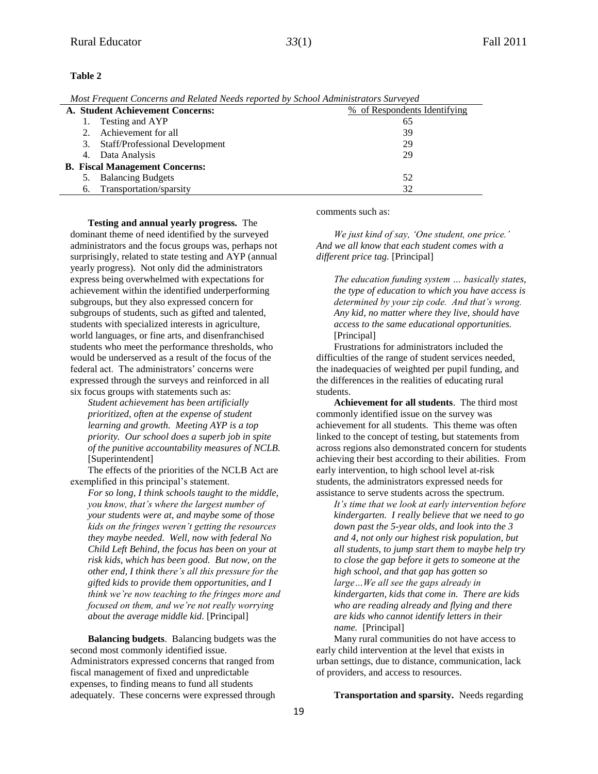## **Table 2**

*Most Frequent Concerns and Related Needs reported by School Administrators Surveyed*

| A. Student Achievement Concerns:      |    |                                | % of Respondents Identifying |
|---------------------------------------|----|--------------------------------|------------------------------|
|                                       |    | Testing and AYP                | 65                           |
|                                       |    | Achievement for all            | 39                           |
|                                       | 3. | Staff/Professional Development | 29                           |
|                                       | 4. | Data Analysis                  | 29                           |
| <b>B.</b> Fiscal Management Concerns: |    |                                |                              |
|                                       |    | <b>Balancing Budgets</b>       | 52                           |
|                                       | 6. | Transportation/sparsity        | 32                           |

**Testing and annual yearly progress.** The dominant theme of need identified by the surveyed administrators and the focus groups was, perhaps not surprisingly, related to state testing and AYP (annual yearly progress). Not only did the administrators express being overwhelmed with expectations for achievement within the identified underperforming subgroups, but they also expressed concern for subgroups of students, such as gifted and talented, students with specialized interests in agriculture, world languages, or fine arts, and disenfranchised students who meet the performance thresholds, who would be underserved as a result of the focus of the federal act. The administrators' concerns were expressed through the surveys and reinforced in all six focus groups with statements such as:

*Student achievement has been artificially prioritized, often at the expense of student learning and growth. Meeting AYP is a top priority. Our school does a superb job in spite of the punitive accountability measures of NCLB.* [Superintendent]

The effects of the priorities of the NCLB Act are exemplified in this principal's statement.

*For so long, I think schools taught to the middle, you know, that's where the largest number of your students were at, and maybe some of those kids on the fringes weren't getting the resources they maybe needed. Well, now with federal No Child Left Behind, the focus has been on your at risk kids, which has been good. But now, on the other end, I think there's all this pressure for the gifted kids to provide them opportunities, and I think we're now teaching to the fringes more and focused on them, and we're not really worrying about the average middle kid.* [Principal]

**Balancing budgets**. Balancing budgets was the second most commonly identified issue. Administrators expressed concerns that ranged from fiscal management of fixed and unpredictable expenses, to finding means to fund all students adequately. These concerns were expressed through comments such as:

*We just kind of say, 'One student, one price.' And we all know that each student comes with a different price tag.* [Principal]

*The education funding system … basically states, the type of education to which you have access is determined by your zip code. And that's wrong. Any kid, no matter where they live, should have access to the same educational opportunities.* [Principal]

Frustrations for administrators included the difficulties of the range of student services needed, the inadequacies of weighted per pupil funding, and the differences in the realities of educating rural students.

**Achievement for all students**. The third most commonly identified issue on the survey was achievement for all students. This theme was often linked to the concept of testing, but statements from across regions also demonstrated concern for students achieving their best according to their abilities. From early intervention, to high school level at-risk students, the administrators expressed needs for assistance to serve students across the spectrum.

*It's time that we look at early intervention before kindergarten. I really believe that we need to go down past the 5-year olds, and look into the 3 and 4, not only our highest risk population, but all students, to jump start them to maybe help try to close the gap before it gets to someone at the high school, and that gap has gotten so large…We all see the gaps already in kindergarten, kids that come in. There are kids who are reading already and flying and there are kids who cannot identify letters in their name.* [Principal]

Many rural communities do not have access to early child intervention at the level that exists in urban settings, due to distance, communication, lack of providers, and access to resources.

**Transportation and sparsity***.* Needs regarding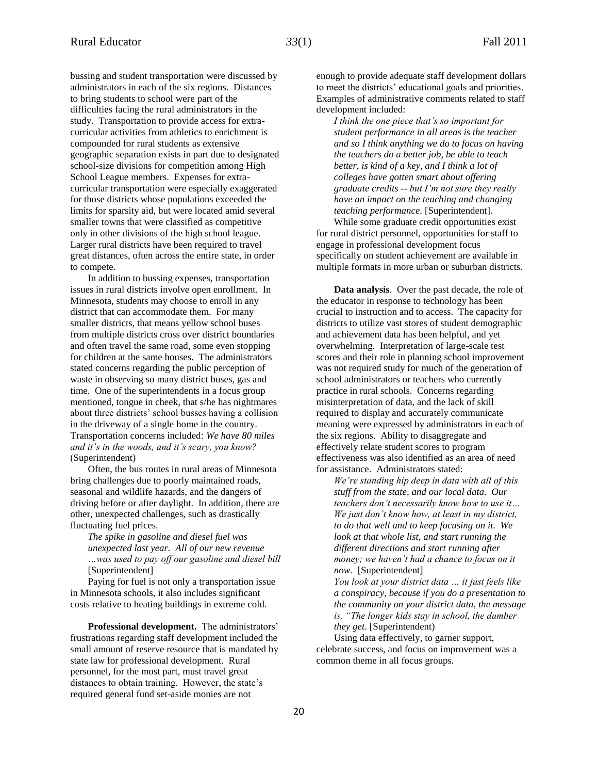bussing and student transportation were discussed by administrators in each of the six regions. Distances to bring students to school were part of the difficulties facing the rural administrators in the study. Transportation to provide access for extracurricular activities from athletics to enrichment is compounded for rural students as extensive geographic separation exists in part due to designated school-size divisions for competition among High School League members. Expenses for extracurricular transportation were especially exaggerated for those districts whose populations exceeded the limits for sparsity aid, but were located amid several smaller towns that were classified as competitive only in other divisions of the high school league. Larger rural districts have been required to travel great distances, often across the entire state, in order to compete.

In addition to bussing expenses, transportation issues in rural districts involve open enrollment. In Minnesota, students may choose to enroll in any district that can accommodate them. For many smaller districts, that means yellow school buses from multiple districts cross over district boundaries and often travel the same road, some even stopping for children at the same houses. The administrators stated concerns regarding the public perception of waste in observing so many district buses, gas and time. One of the superintendents in a focus group mentioned, tongue in cheek, that s/he has nightmares about three districts' school busses having a collision in the driveway of a single home in the country. Transportation concerns included: *We have 80 miles and it's in the woods, and it's scary, you know?* (Superintendent)

Often, the bus routes in rural areas of Minnesota bring challenges due to poorly maintained roads, seasonal and wildlife hazards, and the dangers of driving before or after daylight. In addition, there are other, unexpected challenges, such as drastically fluctuating fuel prices.

*The spike in gasoline and diesel fuel was unexpected last year. All of our new revenue …was used to pay off our gasoline and diesel bill*  [Superintendent]

Paying for fuel is not only a transportation issue in Minnesota schools, it also includes significant costs relative to heating buildings in extreme cold.

**Professional development.** The administrators' frustrations regarding staff development included the small amount of reserve resource that is mandated by state law for professional development. Rural personnel, for the most part, must travel great distances to obtain training. However, the state's required general fund set-aside monies are not

enough to provide adequate staff development dollars to meet the districts' educational goals and priorities. Examples of administrative comments related to staff development included:

*I think the one piece that's so important for student performance in all areas is the teacher and so I think anything we do to focus on having the teachers do a better job, be able to teach better, is kind of a key, and I think a lot of colleges have gotten smart about offering graduate credits -- but I'm not sure they really have an impact on the teaching and changing teaching performance.* [Superintendent]. While some graduate credit opportunities exist for rural district personnel, opportunities for staff to engage in professional development focus specifically on student achievement are available in multiple formats in more urban or suburban districts.

**Data analysis**. Over the past decade, the role of the educator in response to technology has been crucial to instruction and to access. The capacity for districts to utilize vast stores of student demographic and achievement data has been helpful, and yet overwhelming. Interpretation of large-scale test scores and their role in planning school improvement was not required study for much of the generation of school administrators or teachers who currently practice in rural schools. Concerns regarding misinterpretation of data, and the lack of skill required to display and accurately communicate meaning were expressed by administrators in each of the six regions. Ability to disaggregate and effectively relate student scores to program effectiveness was also identified as an area of need for assistance. Administrators stated:

*We're standing hip deep in data with all of this stuff from the state, and our local data. Our teachers don't necessarily know how to use it… We just don't know how, at least in my district, to do that well and to keep focusing on it. We look at that whole list, and start running the different directions and start running after money; we haven't had a chance to focus on it now.* [Superintendent]

*You look at your district data … it just feels like a conspiracy, because if you do a presentation to the community on your district data, the message is, "The longer kids stay in school, the dumber they get*. [Superintendent)

Using data effectively, to garner support, celebrate success, and focus on improvement was a common theme in all focus groups.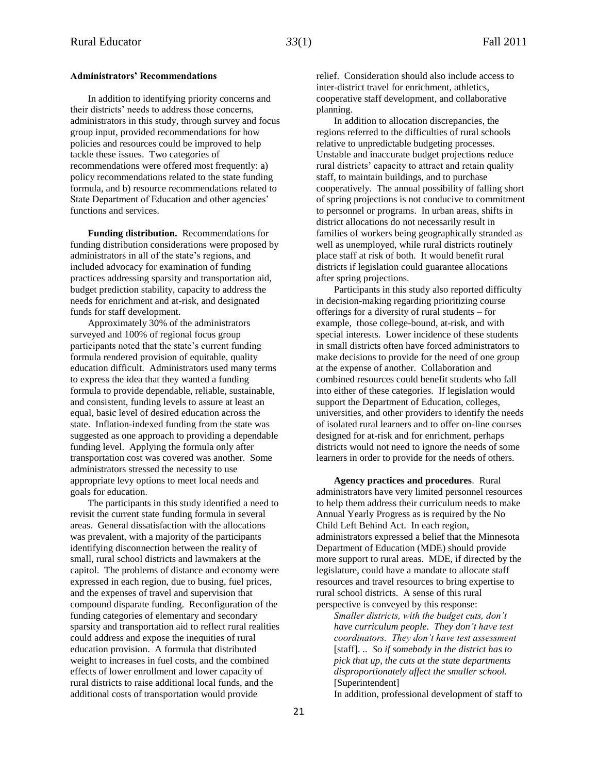## **Administrators' Recommendations**

In addition to identifying priority concerns and their districts' needs to address those concerns, administrators in this study, through survey and focus group input, provided recommendations for how policies and resources could be improved to help tackle these issues. Two categories of recommendations were offered most frequently: a) policy recommendations related to the state funding formula, and b) resource recommendations related to State Department of Education and other agencies' functions and services.

**Funding distribution.** Recommendations for funding distribution considerations were proposed by administrators in all of the state's regions, and included advocacy for examination of funding practices addressing sparsity and transportation aid, budget prediction stability, capacity to address the needs for enrichment and at-risk, and designated funds for staff development.

Approximately 30% of the administrators surveyed and 100% of regional focus group participants noted that the state's current funding formula rendered provision of equitable, quality education difficult. Administrators used many terms to express the idea that they wanted a funding formula to provide dependable, reliable, sustainable, and consistent, funding levels to assure at least an equal, basic level of desired education across the state. Inflation-indexed funding from the state was suggested as one approach to providing a dependable funding level. Applying the formula only after transportation cost was covered was another. Some administrators stressed the necessity to use appropriate levy options to meet local needs and goals for education.

The participants in this study identified a need to revisit the current state funding formula in several areas. General dissatisfaction with the allocations was prevalent, with a majority of the participants identifying disconnection between the reality of small, rural school districts and lawmakers at the capitol. The problems of distance and economy were expressed in each region, due to busing, fuel prices, and the expenses of travel and supervision that compound disparate funding. Reconfiguration of the funding categories of elementary and secondary sparsity and transportation aid to reflect rural realities could address and expose the inequities of rural education provision. A formula that distributed weight to increases in fuel costs, and the combined effects of lower enrollment and lower capacity of rural districts to raise additional local funds, and the additional costs of transportation would provide

relief. Consideration should also include access to inter-district travel for enrichment, athletics, cooperative staff development, and collaborative planning.

In addition to allocation discrepancies, the regions referred to the difficulties of rural schools relative to unpredictable budgeting processes. Unstable and inaccurate budget projections reduce rural districts' capacity to attract and retain quality staff, to maintain buildings, and to purchase cooperatively. The annual possibility of falling short of spring projections is not conducive to commitment to personnel or programs. In urban areas, shifts in district allocations do not necessarily result in families of workers being geographically stranded as well as unemployed, while rural districts routinely place staff at risk of both. It would benefit rural districts if legislation could guarantee allocations after spring projections.

Participants in this study also reported difficulty in decision-making regarding prioritizing course offerings for a diversity of rural students – for example, those college-bound, at-risk, and with special interests. Lower incidence of these students in small districts often have forced administrators to make decisions to provide for the need of one group at the expense of another. Collaboration and combined resources could benefit students who fall into either of these categories. If legislation would support the Department of Education, colleges, universities, and other providers to identify the needs of isolated rural learners and to offer on-line courses designed for at-risk and for enrichment, perhaps districts would not need to ignore the needs of some learners in order to provide for the needs of others.

**Agency practices and procedures**. Rural administrators have very limited personnel resources to help them address their curriculum needs to make Annual Yearly Progress as is required by the No Child Left Behind Act. In each region, administrators expressed a belief that the Minnesota Department of Education (MDE) should provide more support to rural areas. MDE, if directed by the legislature, could have a mandate to allocate staff resources and travel resources to bring expertise to rural school districts. A sense of this rural perspective is conveyed by this response:

*Smaller districts, with the budget cuts, don't have curriculum people. They don't have test coordinators. They don't have test assessment*  [staff]. *.. So if somebody in the district has to pick that up, the cuts at the state departments disproportionately affect the smaller school.* [Superintendent]

In addition, professional development of staff to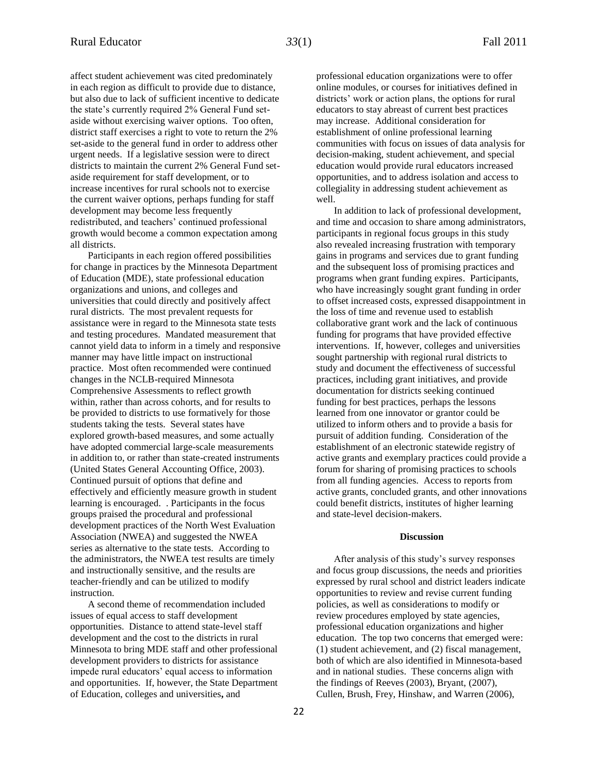affect student achievement was cited predominately in each region as difficult to provide due to distance, but also due to lack of sufficient incentive to dedicate the state's currently required 2% General Fund setaside without exercising waiver options. Too often, district staff exercises a right to vote to return the 2% set-aside to the general fund in order to address other urgent needs. If a legislative session were to direct districts to maintain the current 2% General Fund setaside requirement for staff development, or to increase incentives for rural schools not to exercise the current waiver options, perhaps funding for staff development may become less frequently redistributed, and teachers' continued professional growth would become a common expectation among all districts.

Participants in each region offered possibilities for change in practices by the Minnesota Department of Education (MDE), state professional education organizations and unions, and colleges and universities that could directly and positively affect rural districts. The most prevalent requests for assistance were in regard to the Minnesota state tests and testing procedures. Mandated measurement that cannot yield data to inform in a timely and responsive manner may have little impact on instructional practice. Most often recommended were continued changes in the NCLB-required Minnesota Comprehensive Assessments to reflect growth within, rather than across cohorts, and for results to be provided to districts to use formatively for those students taking the tests. Several states have explored growth-based measures, and some actually have adopted commercial large-scale measurements in addition to, or rather than state-created instruments (United States General Accounting Office, 2003). Continued pursuit of options that define and effectively and efficiently measure growth in student learning is encouraged. . Participants in the focus groups praised the procedural and professional development practices of the North West Evaluation Association (NWEA) and suggested the NWEA series as alternative to the state tests. According to the administrators, the NWEA test results are timely and instructionally sensitive, and the results are teacher-friendly and can be utilized to modify instruction.

A second theme of recommendation included issues of equal access to staff development opportunities. Distance to attend state-level staff development and the cost to the districts in rural Minnesota to bring MDE staff and other professional development providers to districts for assistance impede rural educators' equal access to information and opportunities. If, however, the State Department of Education, colleges and universities**,** and

professional education organizations were to offer online modules, or courses for initiatives defined in districts' work or action plans, the options for rural educators to stay abreast of current best practices may increase. Additional consideration for establishment of online professional learning communities with focus on issues of data analysis for decision-making, student achievement, and special education would provide rural educators increased opportunities, and to address isolation and access to collegiality in addressing student achievement as well.

In addition to lack of professional development, and time and occasion to share among administrators, participants in regional focus groups in this study also revealed increasing frustration with temporary gains in programs and services due to grant funding and the subsequent loss of promising practices and programs when grant funding expires. Participants, who have increasingly sought grant funding in order to offset increased costs, expressed disappointment in the loss of time and revenue used to establish collaborative grant work and the lack of continuous funding for programs that have provided effective interventions. If, however, colleges and universities sought partnership with regional rural districts to study and document the effectiveness of successful practices, including grant initiatives, and provide documentation for districts seeking continued funding for best practices, perhaps the lessons learned from one innovator or grantor could be utilized to inform others and to provide a basis for pursuit of addition funding. Consideration of the establishment of an electronic statewide registry of active grants and exemplary practices could provide a forum for sharing of promising practices to schools from all funding agencies. Access to reports from active grants, concluded grants, and other innovations could benefit districts, institutes of higher learning and state-level decision-makers.

## **Discussion**

After analysis of this study's survey responses and focus group discussions, the needs and priorities expressed by rural school and district leaders indicate opportunities to review and revise current funding policies, as well as considerations to modify or review procedures employed by state agencies, professional education organizations and higher education. The top two concerns that emerged were: (1) student achievement, and (2) fiscal management, both of which are also identified in Minnesota-based and in national studies. These concerns align with the findings of Reeves (2003), Bryant, (2007), Cullen, Brush, Frey, Hinshaw, and Warren (2006),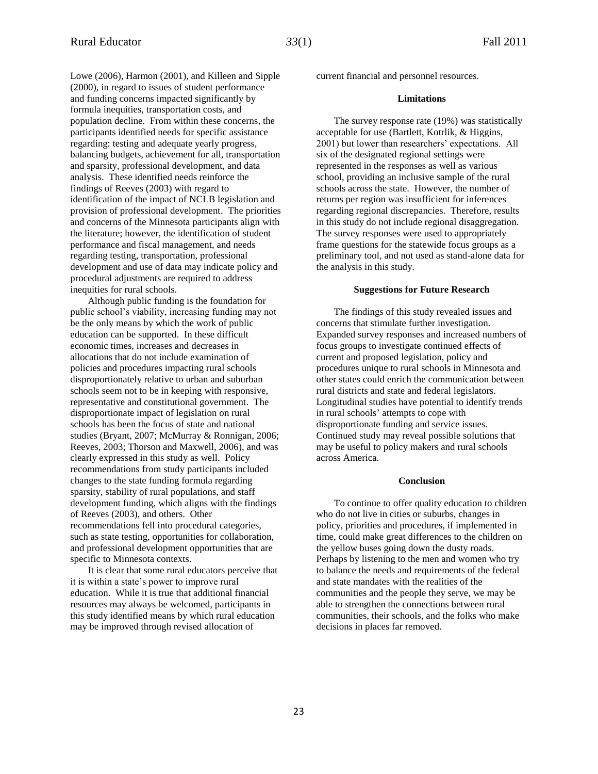Lowe (2006), Harmon (2001), and Killeen and Sipple (2000), in regard to issues of student performance and funding concerns impacted significantly by formula inequities, transportation costs, and population decline. From within these concerns, the participants identified needs for specific assistance regarding: testing and adequate yearly progress, balancing budgets, achievement for all, transportation and sparsity, professional development, and data analysis. These identified needs reinforce the findings of Reeves (2003) with regard to identification of the impact of NCLB legislation and provision of professional development. The priorities and concerns of the Minnesota participants align with the literature; however, the identification of student performance and fiscal management, and needs regarding testing, transportation, professional development and use of data may indicate policy and procedural adjustments are required to address inequities for rural schools.

Although public funding is the foundation for public school's viability, increasing funding may not be the only means by which the work of public education can be supported. In these difficult economic times, increases and decreases in allocations that do not include examination of policies and procedures impacting rural schools disproportionately relative to urban and suburban schools seem not to be in keeping with responsive, representative and constitutional government. The disproportionate impact of legislation on rural schools has been the focus of state and national studies (Bryant, 2007; McMurray & Ronnigan, 2006; Reeves, 2003; Thorson and Maxwell, 2006), and was clearly expressed in this study as well. Policy recommendations from study participants included changes to the state funding formula regarding sparsity, stability of rural populations, and staff development funding, which aligns with the findings of Reeves (2003), and others. Other recommendations fell into procedural categories, such as state testing, opportunities for collaboration, and professional development opportunities that are specific to Minnesota contexts.

It is clear that some rural educators perceive that it is within a state's power to improve rural education. While it is true that additional financial resources may always be welcomed, participants in this study identified means by which rural education may be improved through revised allocation of

current financial and personnel resources.

#### **Limitations**

The survey response rate (19%) was statistically acceptable for use (Bartlett, Kotrlik, & Higgins, 2001) but lower than researchers' expectations. All six of the designated regional settings were represented in the responses as well as various school, providing an inclusive sample of the rural schools across the state. However, the number of returns per region was insufficient for inferences regarding regional discrepancies. Therefore, results in this study do not include regional disaggregation. The survey responses were used to appropriately frame questions for the statewide focus groups as a preliminary tool, and not used as stand-alone data for the analysis in this study.

#### **Suggestions for Future Research**

The findings of this study revealed issues and concerns that stimulate further investigation. Expanded survey responses and increased numbers of focus groups to investigate continued effects of current and proposed legislation, policy and procedures unique to rural schools in Minnesota and other states could enrich the communication between rural districts and state and federal legislators. Longitudinal studies have potential to identify trends in rural schools' attempts to cope with disproportionate funding and service issues. Continued study may reveal possible solutions that may be useful to policy makers and rural schools across America.

## **Conclusion**

To continue to offer quality education to children who do not live in cities or suburbs, changes in policy, priorities and procedures, if implemented in time, could make great differences to the children on the yellow buses going down the dusty roads. Perhaps by listening to the men and women who try to balance the needs and requirements of the federal and state mandates with the realities of the communities and the people they serve, we may be able to strengthen the connections between rural communities, their schools, and the folks who make decisions in places far removed.